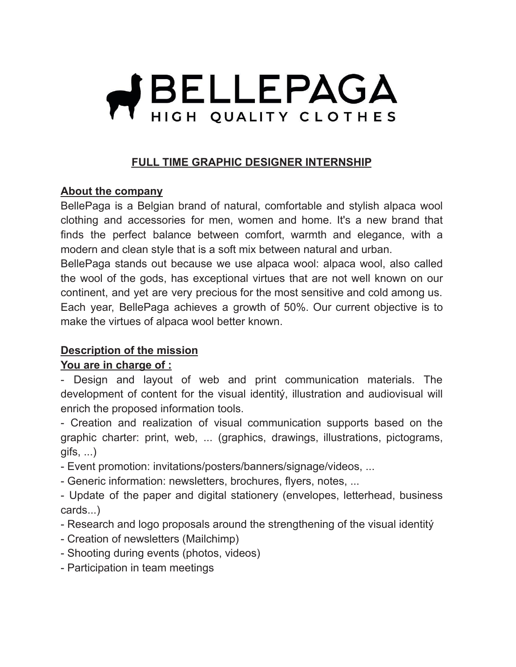# **HELLEPAGA** HIGH QUALITY CLOTHES

### **FULL TIME GRAPHIC DESIGNER INTERNSHIP**

#### **About the company**

BellePaga is a Belgian brand of natural, comfortable and stylish alpaca wool clothing and accessories for men, women and home. It's a new brand that finds the perfect balance between comfort, warmth and elegance, with a modern and clean style that is a soft mix between natural and urban.

BellePaga stands out because we use alpaca wool: alpaca wool, also called the wool of the gods, has exceptional virtues that are not well known on our continent, and yet are very precious for the most sensitive and cold among us. Each year, BellePaga achieves a growth of 50%. Our current objective is to make the virtues of alpaca wool better known.

### **Description of the mission**

#### **You are in charge of :**

- Design and layout of web and print communication materials. The development of content for the visual identitý, illustration and audiovisual will enrich the proposed information tools.

- Creation and realization of visual communication supports based on the graphic charter: print, web, ... (graphics, drawings, illustrations, pictograms, gifs, ...)

- Event promotion: invitations/posters/banners/signage/videos, ...

- Generic information: newsletters, brochures, flyers, notes, ...

- Update of the paper and digital stationery (envelopes, letterhead, business cards...)

- Research and logo proposals around the strengthening of the visual identitý

- Creation of newsletters (Mailchimp)
- Shooting during events (photos, videos)
- Participation in team meetings